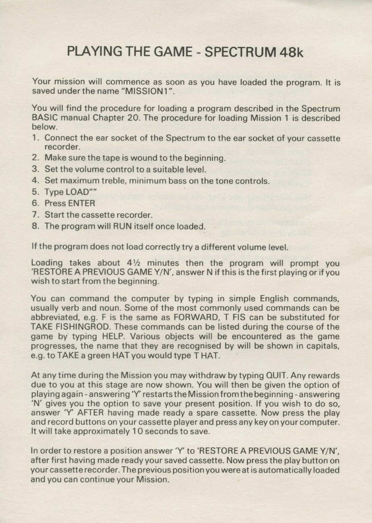## **PLAYING THE GAME - SPECTRUM 48k**

Your mission will commence as soon as you have loaded the program. It is saved under the name "MISSION1"

You will find the procedure for loading a program described in the Spectrum BASIC manual Chapter 20. The procedure for loading Mission 1 is described below.

- 1. Connect the ear socket of the Spectrum to the ear socket of your cassette recorder.
- 2. Make sure the tape is wound to the beginning.
- 3. Set the volume control to a suitable level.
- 4. Set maximum treble, minimum bass on the tone controls.
- 5. Type LOAD""
- 6. Press ENTER
- 7. Start the cassette recorder.
- 8. The program will RUN itself once loaded.

If the program does not load correctly try a different volume level.

Loading takes about  $4\frac{1}{2}$  minutes then the program will prompt you 'RESTORE A PREVIOUS GAME Y/N'. answer N if this is the first playing or if you wish to start from the beginning.

You can command the computer by typing in simple English commands, usually verb and noun. Some of the most commonly used commands can be abbreviated, e.g. F is the same as FORWARD, T FIS can be substituted for TAKE FISHINGROD. These commands can be listed during the course of the game by" typing HELP. Various objects will be encountered as the game progresses, the name that they are recognised by will be shown in capitals, e.g. to TAKE a green HAT you would type THAT.

At any time during the Mission you may withdraw by typing QUIT. Any rewards due to you at this stage are now shown. You will then be given the option of playing again -answering 'Y' restarts the Mission from the beginning-answering 'N' gives you the option to save your present position. If you wish to do so, answer 'Y' AFTER having made ready a spare cassette. Now press the play and record buttons on your cassette player and press any key on your computer. It will take approximately 10 seconds to save.

In order to restore a position answer 'Y' to 'RESTORE A PREVIOUS GAME Y/N'. after first having made ready your saved cassette. Now press the play button on your cassette recorder. The previous position you were at is automatically loaded and you can continue your Mission.